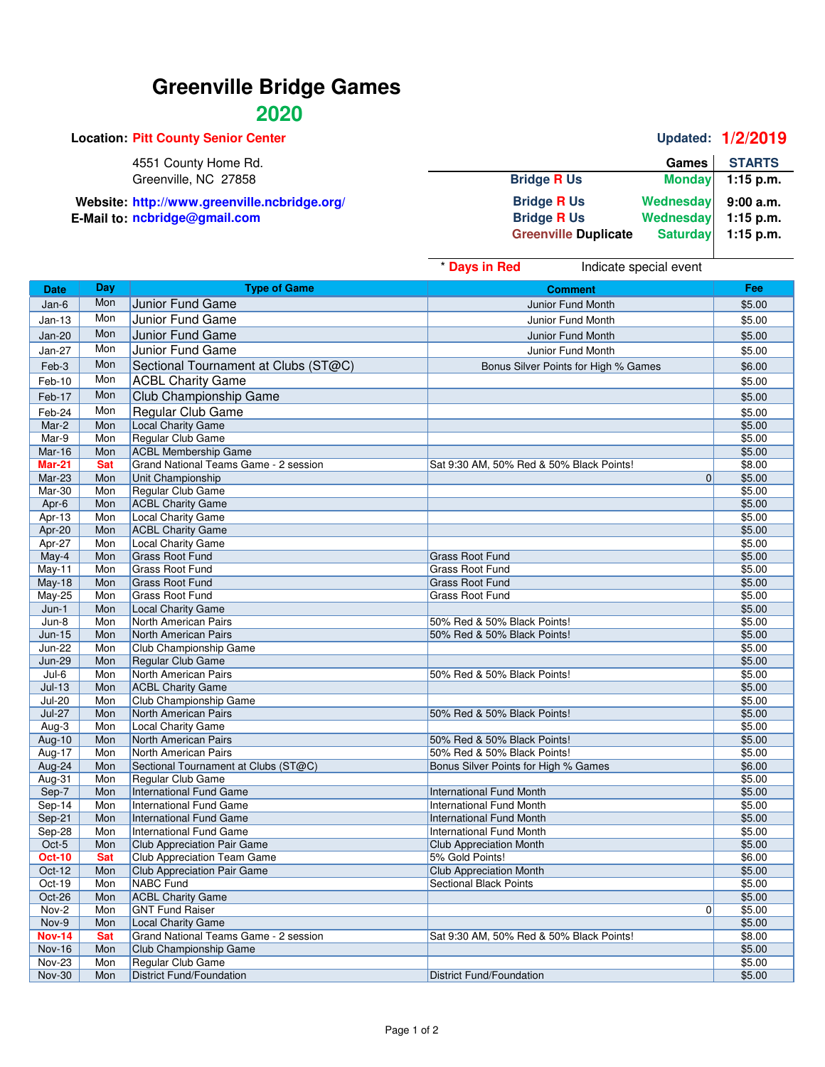# **Greenville Bridge Games**

## **2020**

| <b>Location: Pitt County Senior Center</b>   |                             |                 | <b>Updated: 1/2/2019</b> |
|----------------------------------------------|-----------------------------|-----------------|--------------------------|
| 4551 County Home Rd.                         |                             | <b>Games</b>    | <b>STARTS</b>            |
| Greenville, NC 27858                         | <b>Bridge R Us</b>          | <b>Monday</b>   | $1:15$ p.m.              |
| Website: http://www.greenville.ncbridge.org/ | <b>Bridge R Us</b>          | Wednesday       | 9:00a.m.                 |
| E-Mail to: ncbridge@gmail.com                | <b>Bridge R Us</b>          | Wednesday       | $1:15$ p.m.              |
|                                              | <b>Greenville Duplicate</b> | <b>Saturday</b> | $1:15$ p.m.              |
|                                              |                             |                 |                          |

|                                |            |                                           | * Days in Red<br>Indicate special event  |                  |
|--------------------------------|------------|-------------------------------------------|------------------------------------------|------------------|
| <b>Date</b>                    | Day        | <b>Type of Game</b>                       | <b>Comment</b>                           | Fee              |
| Jan-6                          | Mon        | Junior Fund Game                          | Junior Fund Month                        | \$5.00           |
| $Jan-13$                       | Mon        | Junior Fund Game                          | Junior Fund Month                        | \$5.00           |
| <b>Jan-20</b>                  | Mon        | Junior Fund Game                          | Junior Fund Month                        | \$5.00           |
|                                | Mon        |                                           |                                          |                  |
| <b>Jan-27</b>                  |            | Junior Fund Game                          | Junior Fund Month                        | \$5.00           |
| Feb-3                          | Mon        | Sectional Tournament at Clubs (ST@C)      | Bonus Silver Points for High % Games     | \$6.00           |
| Feb-10                         | Mon        | <b>ACBL Charity Game</b>                  |                                          | \$5.00           |
| Feb-17                         | Mon        | Club Championship Game                    |                                          | \$5.00           |
| Feb-24                         | Mon        | Regular Club Game                         |                                          | \$5.00           |
| Mar-2                          | Mon        | Local Charity Game                        |                                          | \$5.00           |
| Mar-9                          | Mon        | Regular Club Game                         |                                          | \$5.00           |
| <b>Mar-16</b>                  | Mon        | <b>ACBL Membership Game</b>               |                                          | \$5.00           |
| <b>Mar-21</b>                  | <b>Sat</b> | Grand National Teams Game - 2 session     | Sat 9:30 AM, 50% Red & 50% Black Points! | \$8.00           |
| Mar-23                         | Mon        | Unit Championship                         | $\Omega$                                 | \$5.00           |
| Mar-30                         | Mon        | Regular Club Game                         |                                          | \$5.00           |
| Apr-6                          | Mon        | <b>ACBL Charity Game</b>                  |                                          | \$5.00           |
| Apr-13                         | Mon        | Local Charity Game                        |                                          | \$5.00           |
| Apr-20                         | Mon        | <b>ACBL Charity Game</b>                  |                                          | \$5.00           |
| Apr-27                         | Mon        | Local Charity Game                        |                                          | \$5.00           |
| May-4                          | Mon        | <b>Grass Root Fund</b>                    | <b>Grass Root Fund</b>                   | \$5.00           |
| May-11                         | Mon        | <b>Grass Root Fund</b>                    | <b>Grass Root Fund</b>                   | \$5.00           |
| <b>May-18</b>                  | Mon        | <b>Grass Root Fund</b>                    | <b>Grass Root Fund</b>                   | \$5.00           |
| May-25                         | Mon        | <b>Grass Root Fund</b>                    | <b>Grass Root Fund</b>                   | \$5.00           |
| $Jun-1$                        | Mon        | <b>Local Charity Game</b>                 |                                          | \$5.00           |
| $Jun-8$                        | Mon        | North American Pairs                      | 50% Red & 50% Black Points!              | \$5.00           |
| <b>Jun-15</b>                  | Mon        | North American Pairs                      | 50% Red & 50% Black Points!              | \$5.00           |
| <b>Jun-22</b><br><b>Jun-29</b> | Mon        | Club Championship Game                    |                                          | \$5.00           |
| $Jul-6$                        | Mon<br>Mon | Regular Club Game<br>North American Pairs | 50% Red & 50% Black Points!              | \$5.00<br>\$5.00 |
| $Jul-13$                       | Mon        | <b>ACBL Charity Game</b>                  |                                          | \$5.00           |
| <b>Jul-20</b>                  | Mon        | Club Championship Game                    |                                          | \$5.00           |
| <b>Jul-27</b>                  | Mon        | North American Pairs                      | 50% Red & 50% Black Points!              | \$5.00           |
| $Aug-3$                        | Mon        | <b>Local Charity Game</b>                 |                                          | \$5.00           |
| Aug-10                         | Mon        | North American Pairs                      | 50% Red & 50% Black Points!              | \$5.00           |
| Aug-17                         | Mon        | North American Pairs                      | 50% Red & 50% Black Points!              | \$5.00           |
| Aug-24                         | Mon        | Sectional Tournament at Clubs (ST@C)      | Bonus Silver Points for High % Games     | \$6.00           |
| Aug-31                         | Mon        | Regular Club Game                         |                                          | \$5.00           |
| Sep-7                          | Mon        | <b>International Fund Game</b>            | <b>International Fund Month</b>          | \$5.00           |
| $Sep-14$                       | Mon        | <b>International Fund Game</b>            | <b>International Fund Month</b>          | \$5.00           |
| Sep-21                         | Mon        | International Fund Game                   | <b>International Fund Month</b>          | \$5.00           |
| Sep-28                         | Mon        | <b>International Fund Game</b>            | International Fund Month                 | \$5.00           |
| Oct-5                          | Mon        | Club Appreciation Pair Game               | <b>Club Appreciation Month</b>           | \$5.00           |
| <b>Oct-10</b>                  | Sat        | Club Appreciation Team Game               | 5% Gold Points!                          | \$6.00           |
| Oct-12                         | Mon        | Club Appreciation Pair Game               | <b>Club Appreciation Month</b>           | \$5.00           |
| Oct-19                         | Mon        | NABC Fund                                 | <b>Sectional Black Points</b>            | \$5.00           |
| Oct-26                         | Mon        | <b>ACBL Charity Game</b>                  |                                          | \$5.00           |
| Nov-2                          | Mon        | <b>GNT Fund Raiser</b>                    | 0                                        | \$5.00           |
| Nov-9                          | Mon        | Local Charity Game                        |                                          | \$5.00           |
| <b>Nov-14</b>                  | Sat        | Grand National Teams Game - 2 session     | Sat 9:30 AM, 50% Red & 50% Black Points! | \$8.00           |
| <b>Nov-16</b>                  | Mon        | Club Championship Game                    |                                          | \$5.00           |
| <b>Nov-23</b>                  | Mon        | Regular Club Game                         |                                          | \$5.00           |
| <b>Nov-30</b>                  | Mon        | <b>District Fund/Foundation</b>           | <b>District Fund/Foundation</b>          | \$5.00           |